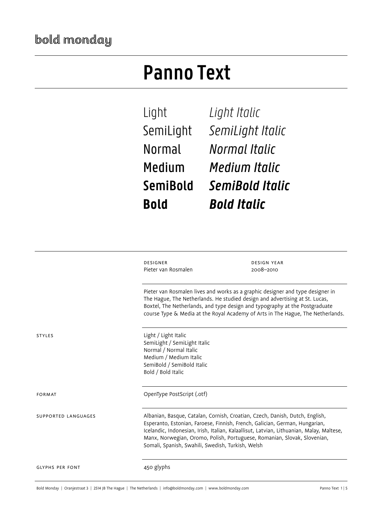## **Panno Text**

Light *Light Italic* SemiLight *SemiLight Italic* Normal *Normal Italic* Medium *Medium Italic* **SemiBold** *SemiBold Italic* **Bold** *Bold Italic*

|                        | <b>DESIGNER</b><br>Pieter van Rosmalen                                                                                                                                                                                                                                                                                          | <b>DESIGN YEAR</b><br>2008-2010                                                                                                                                                                                                                                                                                                     |
|------------------------|---------------------------------------------------------------------------------------------------------------------------------------------------------------------------------------------------------------------------------------------------------------------------------------------------------------------------------|-------------------------------------------------------------------------------------------------------------------------------------------------------------------------------------------------------------------------------------------------------------------------------------------------------------------------------------|
|                        | Pieter van Rosmalen lives and works as a graphic designer and type designer in<br>The Hague, The Netherlands. He studied design and advertising at St. Lucas,<br>Boxtel, The Netherlands, and type design and typography at the Postgraduate<br>course Type & Media at the Royal Academy of Arts in The Hague, The Netherlands. |                                                                                                                                                                                                                                                                                                                                     |
| <b>STYLES</b>          | Light / Light Italic<br>SemiLight / SemiLight Italic<br>Normal / Normal Italic<br>Medium / Medium Italic<br>SemiBold / SemiBold Italic<br>Bold / Bold Italic                                                                                                                                                                    |                                                                                                                                                                                                                                                                                                                                     |
| <b>FORMAT</b>          | OpenType PostScript (.otf)                                                                                                                                                                                                                                                                                                      |                                                                                                                                                                                                                                                                                                                                     |
| SUPPORTED LANGUAGES    | Somali, Spanish, Swahili, Swedish, Turkish, Welsh                                                                                                                                                                                                                                                                               | Albanian, Basque, Catalan, Cornish, Croatian, Czech, Danish, Dutch, English,<br>Esperanto, Estonian, Faroese, Finnish, French, Galician, German, Hungarian,<br>Icelandic, Indonesian, Irish, Italian, Kalaallisut, Latvian, Lithuanian, Malay, Maltese,<br>Manx, Norwegian, Oromo, Polish, Portuguese, Romanian, Slovak, Slovenian, |
| <b>GLYPHS PER FONT</b> | 450 glyphs                                                                                                                                                                                                                                                                                                                      |                                                                                                                                                                                                                                                                                                                                     |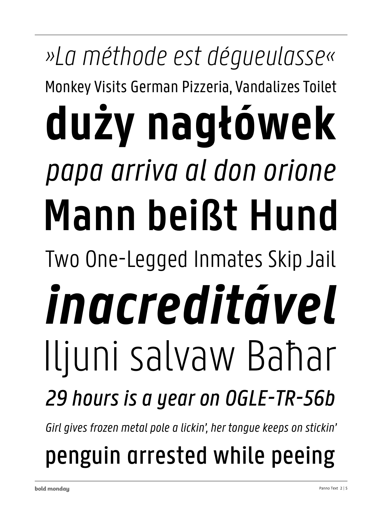## »La méthode est déqueulasse« Monkey Visits German Pizzeria, Vandalizes Toilet duży nagłówek papa arriva al don orione Mann beißt Hund Two One-Legged Inmates Skip Jail inacreditável Iljuni salvaw Bahar 29 hours is a year on OGLE-TR-56b

Girl gives frozen metal pole a lickin', her tongue keeps on stickin'

penguin arrested while peeing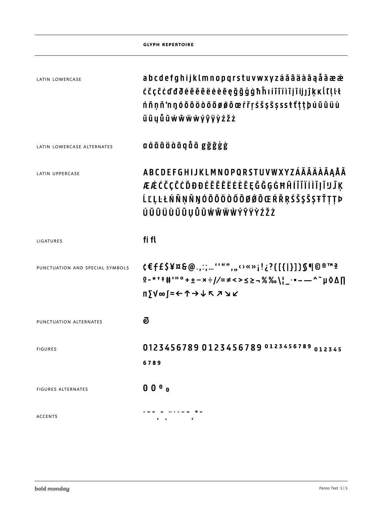|                                 | <b>GLYPH REPERTOIRE</b>                                                   |
|---------------------------------|---------------------------------------------------------------------------|
|                                 |                                                                           |
| <b>LATIN LOWERCASE</b>          | a b c d e f g h i j k l m n o p q r s t u v w x y z á ă â ä à ā ą å ã æ æ |
|                                 | ĆČÇĈĊďđðéĕĕêëėèè@çğĝģġħĥıíĭîïìīįĩijjĵķĸĺľļŀł                              |
|                                 | ńňņñ'nŋóŏôöòőōøǿõœŕřṛśšşŝṣssŧťṭṭþúŭûüù                                    |
|                                 | űūyůũẃŵẅẁýŷÿỳźžż                                                          |
| LATIN LOWERCASE ALTERNATES      | a á ă â ä à ā ą å ã  g ğ ĝ ģ ġ                                            |
| LATIN UPPERCASE                 | <b>ABCDEFGHIJKLMNOPQRSTUVWXYZÁĂÂÄÀĀAÅÂ</b>                                |
|                                 | ÆÆĆČÇĈĊĎĐĐÉĔĔÊËĖÈĒĘĞĜĢĠĦĤÍĬÎÏİÌĪļĨIJĴĶ                                    |
|                                 | ĹĽĻĿŁŃŇŅÑŊÓŎÔÖÒŐŌØØÕŒŔŘŖŚŠŞŜŞŦŤŢŢÞ                                        |
|                                 | ÚŬÛŨÜÙŰŪŲŮŨŴŴŴŴÝŶŸŶŹŽŻ                                                    |
| LIGATURES                       | fi fl                                                                     |
| PUNCTUATION AND SPECIAL SYMBOLS | t€f£\$¥¤&@.,:;''"","⇔«»¡!¿?([{ }])\$¶©®™ª                                 |
|                                 | <b>0-***#'"°+±-×÷//=≠&lt;&gt;≤≥¬%‰\¦_.•---^~µ◊△∏</b>                      |
|                                 | ╖∑⋁∞∫≈←↑→↓↖↗↘↙                                                            |
| PUNCTUATION ALTERNATES          | ව                                                                         |
|                                 |                                                                           |
| <b>FIGURES</b>                  | 0123456789 0123456789 0123456789 012345                                   |
|                                 | 6789                                                                      |
| <b>FIGURES ALTERNATES</b>       | 000a                                                                      |
| <b>ACCENTS</b>                  |                                                                           |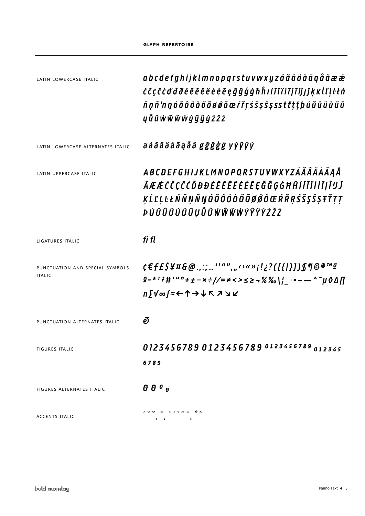|                                                  | <b>GLYPH REPERTOIRE</b>                                                                                                    |
|--------------------------------------------------|----------------------------------------------------------------------------------------------------------------------------|
| LATIN LOWERCASE ITALIC                           | a b c d e f g h i j k l m n o p q r s t u v w x y z á ă â ä à ā g å ã æ æ                                                  |
|                                                  | ć čç ĉ ċ ď đ ð é ĕ ĕ ê ë ė è ē ę ğ ĝ ģ ġ ħ ĥ ı í ĭ î ï ì ī į ĩ ij ĵ Ķ ĸ ĺ ľ ļ ŀ ł ń                                        |
|                                                  | ň ņ ñ 'n ŋ ó ŏ ô ö ò ő õ ø ǿ õ œ ŕ ř ṛ ś š ş ŝ ṣ s s ŧ t' ț ț þ ú ŭ û ü ù ű ū                                              |
|                                                  | y ů ũ ẃ ŵ ẅ ẁ ý ý ÿ ỳ ź ž ż                                                                                                |
| LATIN LOWERCASE ALTERNATES ITALIC                | a á ă â ä à ā ą å ã g ğ ĝ ģ ģ y ý ŷ ÿ ỳ                                                                                    |
| LATIN UPPERCASE ITALIC                           | A B C D E F G H I J K L M N O P Q R S T U V W X Y Z Á Ã Ã Ä À Ā Ą Å                                                        |
|                                                  | ÃÆÆĆČÇĈĊĎĐĐÉĔĔĔËĖÈĒĘĞĜĢĠĦĤÍĬĨÏİÌĪĮĨIJĴ                                                                                     |
|                                                  | ĶĹĽĻĿŁŃŇŅÑŊÓŎÔÖÒŐŌØØÕŒŔŘŖŚŠŞŜŞŦŤŢŢ                                                                                         |
|                                                  | ÞÚŬÛÜÙŰŪŲŮŨŴŴŴŴÝŶŸŶŹŽŻ                                                                                                     |
| LIGATURES ITALIC                                 | fi fl                                                                                                                      |
| PUNCTUATION AND SPECIAL SYMBOLS<br><b>ITALIC</b> | <i>¢€f£\$¥¤&amp;@.,:;''"","</i> ;;«»;!¿?([{ }])\$¶@®™ª<br>$\frac{1}{2}$ -***#'" <sup>o</sup> +±-x÷//=≠<>≤≥¬%% ¦_.•-—^~µ0∆∏ |
|                                                  | <b>Π∑V∞∫≈←↑→↓↖↗</b> ⊻                                                                                                      |
| PUNCTUATION ALTERNATES ITALIC                    | ēΙ                                                                                                                         |
| <b>FIGURES ITALIC</b>                            | 0123456789 0123456789 0123456789 012345                                                                                    |
|                                                  | 6789                                                                                                                       |
| <b>FIGURES ALTERNATES ITALIC</b>                 | 000a                                                                                                                       |
| <b>ACCENTS ITALIC</b>                            |                                                                                                                            |